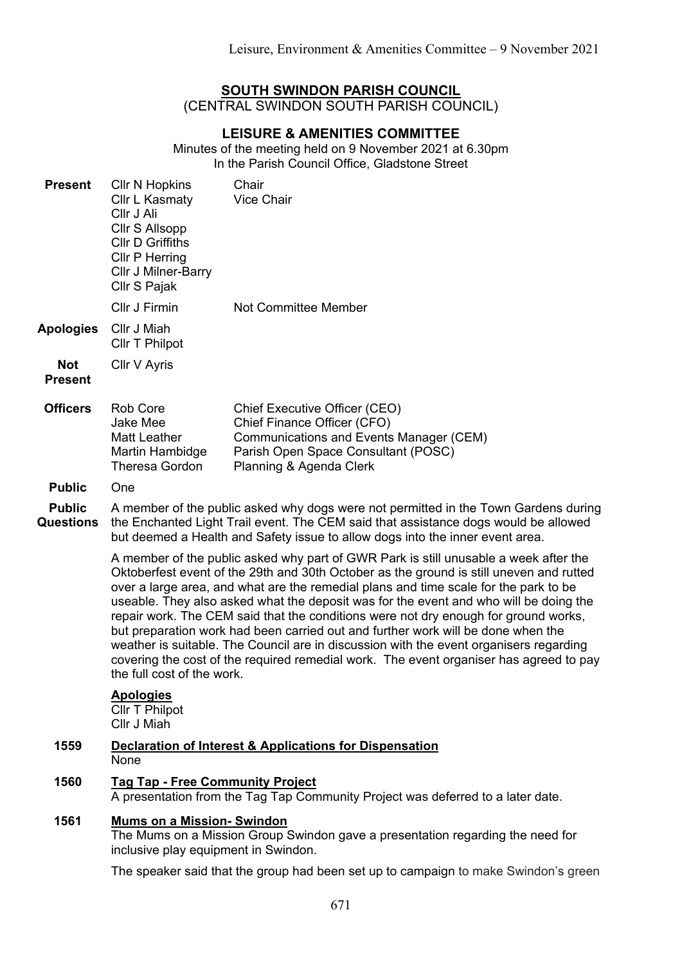# **SOUTH SWINDON PARISH COUNCIL**

(CENTRAL SWINDON SOUTH PARISH COUNCIL)

# **LEISURE & AMENITIES COMMITTEE**

Minutes of the meeting held on 9 November 2021 at 6.30pm In the Parish Council Office, Gladstone Street

| <b>Present</b>                    | <b>CIIr N Hopkins</b><br>Cllr L Kasmaty<br>Cllr J Ali<br>Cllr S Allsopp<br><b>CIIr D Griffiths</b><br><b>CIIr P Herring</b><br>Cllr J Milner-Barry<br>Cllr S Pajak                                                                                                                                                                                                                                                                                                                                                                                                                                                                                                                                                                                            | Chair<br><b>Vice Chair</b>                                                                                                                                                |  |
|-----------------------------------|---------------------------------------------------------------------------------------------------------------------------------------------------------------------------------------------------------------------------------------------------------------------------------------------------------------------------------------------------------------------------------------------------------------------------------------------------------------------------------------------------------------------------------------------------------------------------------------------------------------------------------------------------------------------------------------------------------------------------------------------------------------|---------------------------------------------------------------------------------------------------------------------------------------------------------------------------|--|
|                                   | Cllr J Firmin                                                                                                                                                                                                                                                                                                                                                                                                                                                                                                                                                                                                                                                                                                                                                 | <b>Not Committee Member</b>                                                                                                                                               |  |
| <b>Apologies</b>                  | Cllr J Miah<br><b>CIIr T Philpot</b>                                                                                                                                                                                                                                                                                                                                                                                                                                                                                                                                                                                                                                                                                                                          |                                                                                                                                                                           |  |
| <b>Not</b><br><b>Present</b>      | Cllr V Ayris                                                                                                                                                                                                                                                                                                                                                                                                                                                                                                                                                                                                                                                                                                                                                  |                                                                                                                                                                           |  |
| <b>Officers</b>                   | Rob Core<br>Jake Mee<br><b>Matt Leather</b><br>Martin Hambidge<br><b>Theresa Gordon</b>                                                                                                                                                                                                                                                                                                                                                                                                                                                                                                                                                                                                                                                                       | Chief Executive Officer (CEO)<br>Chief Finance Officer (CFO)<br>Communications and Events Manager (CEM)<br>Parish Open Space Consultant (POSC)<br>Planning & Agenda Clerk |  |
| <b>Public</b>                     | One                                                                                                                                                                                                                                                                                                                                                                                                                                                                                                                                                                                                                                                                                                                                                           |                                                                                                                                                                           |  |
| <b>Public</b><br><b>Questions</b> | A member of the public asked why dogs were not permitted in the Town Gardens during<br>the Enchanted Light Trail event. The CEM said that assistance dogs would be allowed<br>but deemed a Health and Safety issue to allow dogs into the inner event area.                                                                                                                                                                                                                                                                                                                                                                                                                                                                                                   |                                                                                                                                                                           |  |
|                                   | A member of the public asked why part of GWR Park is still unusable a week after the<br>Oktoberfest event of the 29th and 30th October as the ground is still uneven and rutted<br>over a large area, and what are the remedial plans and time scale for the park to be<br>useable. They also asked what the deposit was for the event and who will be doing the<br>repair work. The CEM said that the conditions were not dry enough for ground works,<br>but preparation work had been carried out and further work will be done when the<br>weather is suitable. The Council are in discussion with the event organisers regarding<br>covering the cost of the required remedial work. The event organiser has agreed to pay<br>the full cost of the work. |                                                                                                                                                                           |  |
|                                   | <b>Apologies</b><br><b>CIIr T Philpot</b><br>Cllr J Miah                                                                                                                                                                                                                                                                                                                                                                                                                                                                                                                                                                                                                                                                                                      |                                                                                                                                                                           |  |
| 1559                              | <b>Declaration of Interest &amp; Applications for Dispensation</b><br>None                                                                                                                                                                                                                                                                                                                                                                                                                                                                                                                                                                                                                                                                                    |                                                                                                                                                                           |  |
| 1560                              | <b>Tag Tap - Free Community Project</b><br>A presentation from the Tag Tap Community Project was deferred to a later date.                                                                                                                                                                                                                                                                                                                                                                                                                                                                                                                                                                                                                                    |                                                                                                                                                                           |  |
| 1561                              | <b>Mums on a Mission- Swindon</b><br>The Mums on a Mission Group Swindon gave a presentation regarding the need for<br>inclusive play equipment in Swindon.                                                                                                                                                                                                                                                                                                                                                                                                                                                                                                                                                                                                   |                                                                                                                                                                           |  |

The speaker said that the group had been set up to campaign to make Swindon's green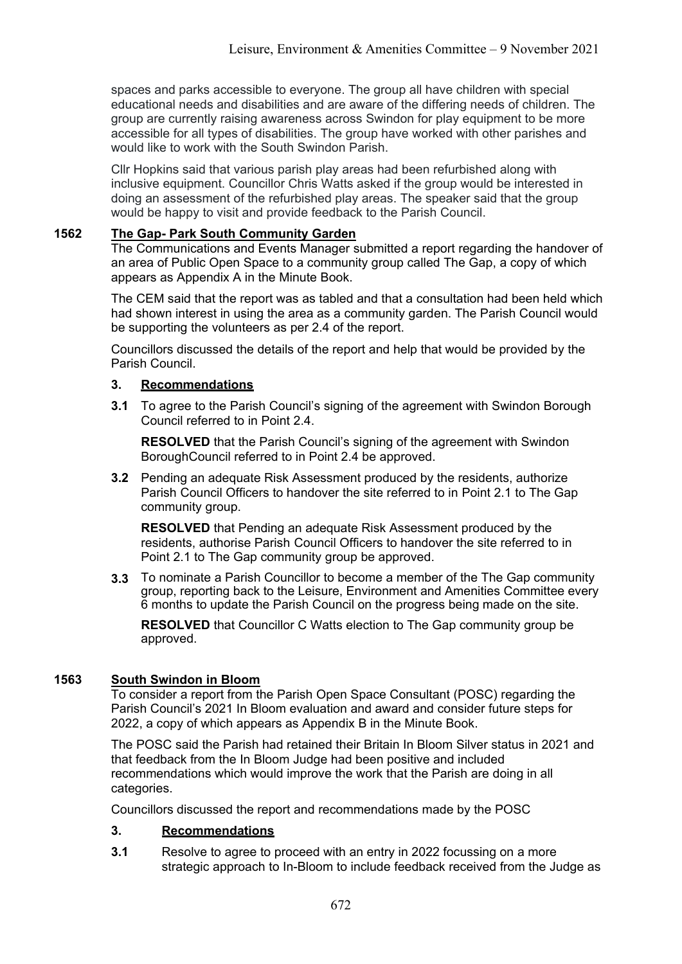spaces and parks accessible to everyone. The group all have children with special educational needs and disabilities and are aware of the differing needs of children. The group are currently raising awareness across Swindon for play equipment to be more accessible for all types of disabilities. The group have worked with other parishes and would like to work with the South Swindon Parish

Cllr Hopkins said that various parish play areas had been refurbished along with inclusive equipment. Councillor Chris Watts asked if the group would be interested in doing an assessment of the refurbished play areas. The speaker said that the group would be happy to visit and provide feedback to the Parish Council.

### **1562 The Gap- Park South Community Garden**

The Communications and Events Manager submitted a report regarding the handover of an area of Public Open Space to a community group called The Gap, a copy of which appears as Appendix A in the Minute Book.

The CEM said that the report was as tabled and that a consultation had been held which had shown interest in using the area as a community garden. The Parish Council would be supporting the volunteers as per 2.4 of the report.

Councillors discussed the details of the report and help that would be provided by the Parish Council.

## **3. Recommendations**

**3.1** To agree to the Parish Council's signing of the agreement with Swindon Borough Council referred to in Point 2.4.

**RESOLVED** that the Parish Council's signing of the agreement with Swindon BoroughCouncil referred to in Point 2.4 be approved.

**3.2** Pending an adequate Risk Assessment produced by the residents, authorize Parish Council Officers to handover the site referred to in Point 2.1 to The Gap community group.

**RESOLVED** that Pending an adequate Risk Assessment produced by the residents, authorise Parish Council Officers to handover the site referred to in Point 2.1 to The Gap community group be approved.

**3.3** To nominate a Parish Councillor to become a member of the The Gap community group, reporting back to the Leisure, Environment and Amenities Committee every 6 months to update the Parish Council on the progress being made on the site.

**RESOLVED** that Councillor C Watts election to The Gap community group be approved.

## **1563 South Swindon in Bloom**

To consider a report from the Parish Open Space Consultant (POSC) regarding the Parish Council's 2021 In Bloom evaluation and award and consider future steps for 2022, a copy of which appears as Appendix B in the Minute Book.

The POSC said the Parish had retained their Britain In Bloom Silver status in 2021 and that feedback from the In Bloom Judge had been positive and included recommendations which would improve the work that the Parish are doing in all categories.

Councillors discussed the report and recommendations made by the POSC

#### **3. Recommendations**

**3.1** Resolve to agree to proceed with an entry in 2022 focussing on a more strategic approach to In-Bloom to include feedback received from the Judge as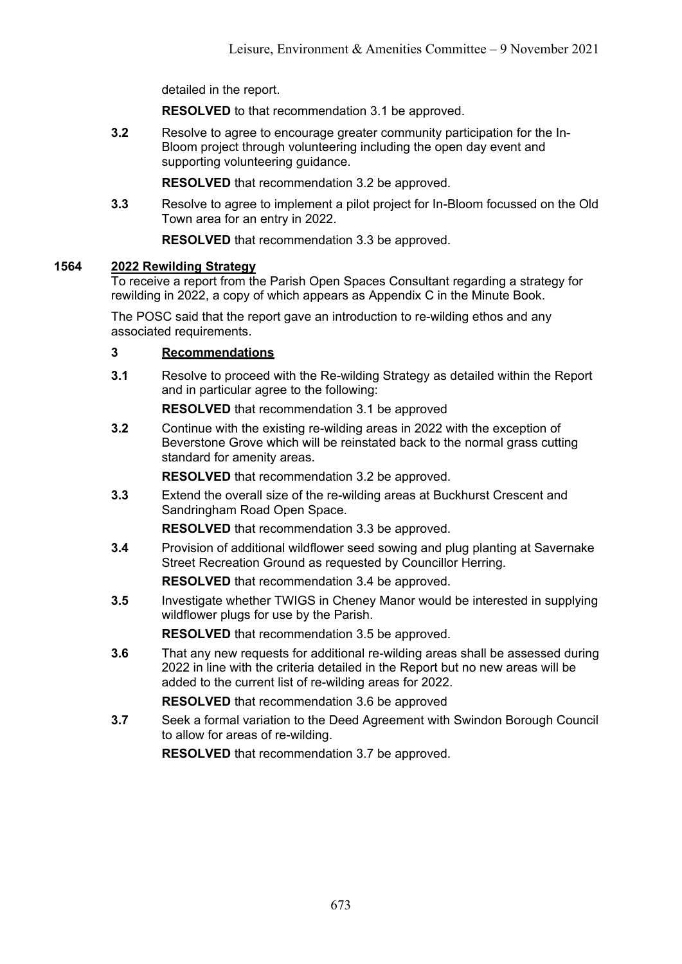detailed in the report.

**RESOLVED** to that recommendation 3.1 be approved.

**3.2** Resolve to agree to encourage greater community participation for the In-Bloom project through volunteering including the open day event and supporting volunteering guidance.

**RESOLVED** that recommendation 3.2 be approved.

**3.3** Resolve to agree to implement a pilot project for In-Bloom focussed on the Old Town area for an entry in 2022.

**RESOLVED** that recommendation 3.3 be approved.

## **1564 2022 Rewilding Strategy**

To receive a report from the Parish Open Spaces Consultant regarding a strategy for rewilding in 2022, a copy of which appears as Appendix C in the Minute Book.

The POSC said that the report gave an introduction to re-wilding ethos and any associated requirements.

## **3 Recommendations**

**3.1** Resolve to proceed with the Re-wilding Strategy as detailed within the Report and in particular agree to the following:

**RESOLVED** that recommendation 3.1 be approved

**3.2** Continue with the existing re-wilding areas in 2022 with the exception of Beverstone Grove which will be reinstated back to the normal grass cutting standard for amenity areas.

**RESOLVED** that recommendation 3.2 be approved.

**3.3** Extend the overall size of the re-wilding areas at Buckhurst Crescent and Sandringham Road Open Space.

**RESOLVED** that recommendation 3.3 be approved.

**3.4** Provision of additional wildflower seed sowing and plug planting at Savernake Street Recreation Ground as requested by Councillor Herring.

**RESOLVED** that recommendation 3.4 be approved.

**3.5** Investigate whether TWIGS in Cheney Manor would be interested in supplying wildflower plugs for use by the Parish.

**RESOLVED** that recommendation 3.5 be approved.

**3.6** That any new requests for additional re-wilding areas shall be assessed during 2022 in line with the criteria detailed in the Report but no new areas will be added to the current list of re-wilding areas for 2022.

**RESOLVED** that recommendation 3.6 be approved

**3.7** Seek a formal variation to the Deed Agreement with Swindon Borough Council to allow for areas of re-wilding.

**RESOLVED** that recommendation 3.7 be approved.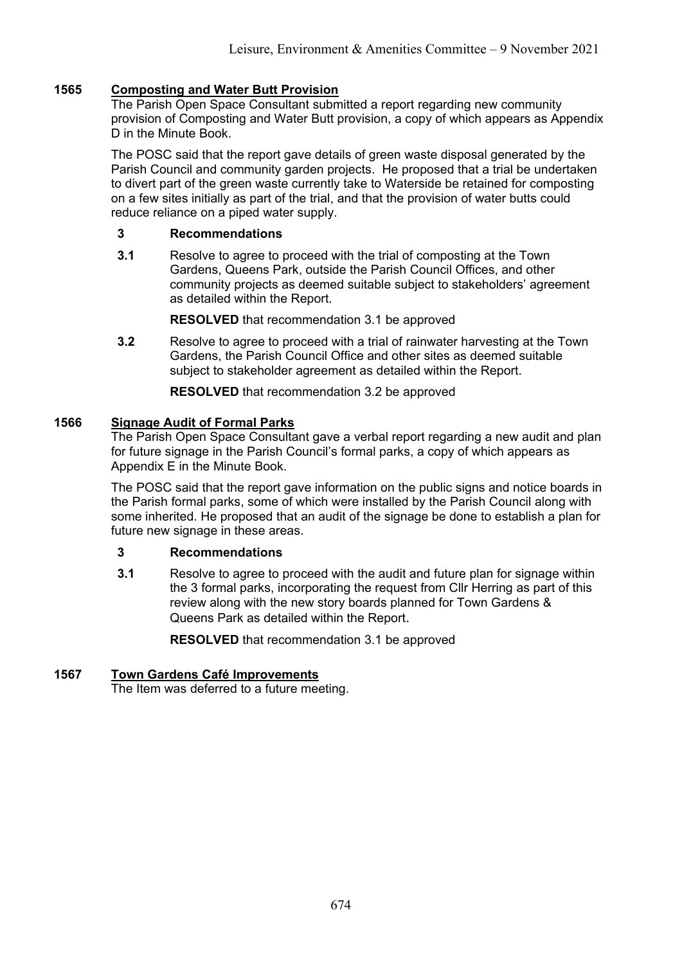## **1565 Composting and Water Butt Provision**

The Parish Open Space Consultant submitted a report regarding new community provision of Composting and Water Butt provision, a copy of which appears as Appendix D in the Minute Book.

The POSC said that the report gave details of green waste disposal generated by the Parish Council and community garden projects. He proposed that a trial be undertaken to divert part of the green waste currently take to Waterside be retained for composting on a few sites initially as part of the trial, and that the provision of water butts could reduce reliance on a piped water supply.

#### **3 Recommendations**

**3.1** Resolve to agree to proceed with the trial of composting at the Town Gardens, Queens Park, outside the Parish Council Offices, and other community projects as deemed suitable subject to stakeholders' agreement as detailed within the Report.

**RESOLVED** that recommendation 3.1 be approved

**3.2** Resolve to agree to proceed with a trial of rainwater harvesting at the Town Gardens, the Parish Council Office and other sites as deemed suitable subject to stakeholder agreement as detailed within the Report.

**RESOLVED** that recommendation 3.2 be approved

### **1566 Signage Audit of Formal Parks**

The Parish Open Space Consultant gave a verbal report regarding a new audit and plan for future signage in the Parish Council's formal parks, a copy of which appears as Appendix E in the Minute Book.

The POSC said that the report gave information on the public signs and notice boards in the Parish formal parks, some of which were installed by the Parish Council along with some inherited. He proposed that an audit of the signage be done to establish a plan for future new signage in these areas.

#### **3 Recommendations**

**3.1** Resolve to agree to proceed with the audit and future plan for signage within the 3 formal parks, incorporating the request from Cllr Herring as part of this review along with the new story boards planned for Town Gardens & Queens Park as detailed within the Report.

**RESOLVED** that recommendation 3.1 be approved

## **1567 Town Gardens Café Improvements**

The Item was deferred to a future meeting.